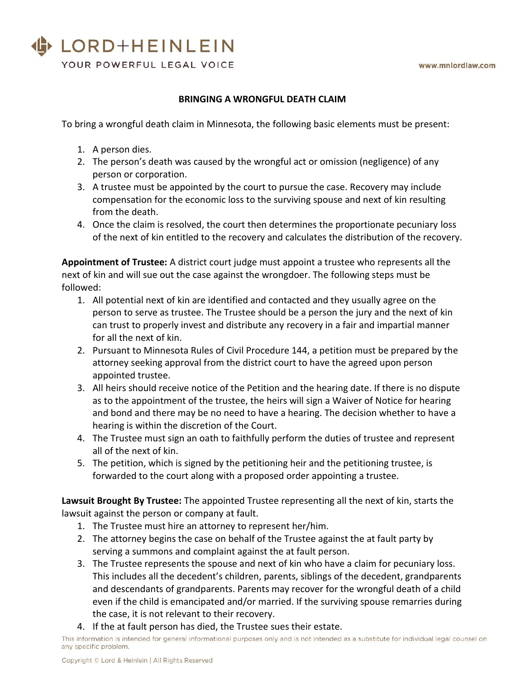## LORD+HEINLEIN

YOUR POWERFUL LEGAL VOICE

### **BRINGING A WRONGFUL DEATH CLAIM**

To bring a wrongful death claim in Minnesota, the following basic elements must be present:

- 1. A person dies.
- 2. The person's death was caused by the wrongful act or omission (negligence) of any person or corporation.
- 3. A trustee must be appointed by the court to pursue the case. Recovery may include compensation for the economic loss to the surviving spouse and next of kin resulting from the death.
- 4. Once the claim is resolved, the court then determines the proportionate pecuniary loss of the next of kin entitled to the recovery and calculates the distribution of the recovery.

**Appointment of Trustee:** A district court judge must appoint a trustee who represents all the next of kin and will sue out the case against the wrongdoer. The following steps must be followed:

- 1. All potential next of kin are identified and contacted and they usually agree on the person to serve as trustee. The Trustee should be a person the jury and the next of kin can trust to properly invest and distribute any recovery in a fair and impartial manner for all the next of kin.
- 2. Pursuant to Minnesota Rules of Civil Procedure 144, a petition must be prepared by the attorney seeking approval from the district court to have the agreed upon person appointed trustee.
- 3. All heirs should receive notice of the Petition and the hearing date. If there is no dispute as to the appointment of the trustee, the heirs will sign a Waiver of Notice for hearing and bond and there may be no need to have a hearing. The decision whether to have a hearing is within the discretion of the Court.
- 4. The Trustee must sign an oath to faithfully perform the duties of trustee and represent all of the next of kin.
- 5. The petition, which is signed by the petitioning heir and the petitioning trustee, is forwarded to the court along with a proposed order appointing a trustee.

**Lawsuit Brought By Trustee:** The appointed Trustee representing all the next of kin, starts the lawsuit against the person or company at fault.

- 1. The Trustee must hire an attorney to represent her/him.
- 2. The attorney begins the case on behalf of the Trustee against the at fault party by serving a summons and complaint against the at fault person.
- 3. The Trustee represents the spouse and next of kin who have a claim for pecuniary loss. This includes all the decedent's children, parents, siblings of the decedent, grandparents and descendants of grandparents. Parents may recover for the wrongful death of a child even if the child is emancipated and/or married. If the surviving spouse remarries during the case, it is not relevant to their recovery.
- 4. If the at fault person has died, the Trustee sues their estate.

This information is intended for general informational purposes only and is not intended as a substitute for individual legal counsel on any specific problem.